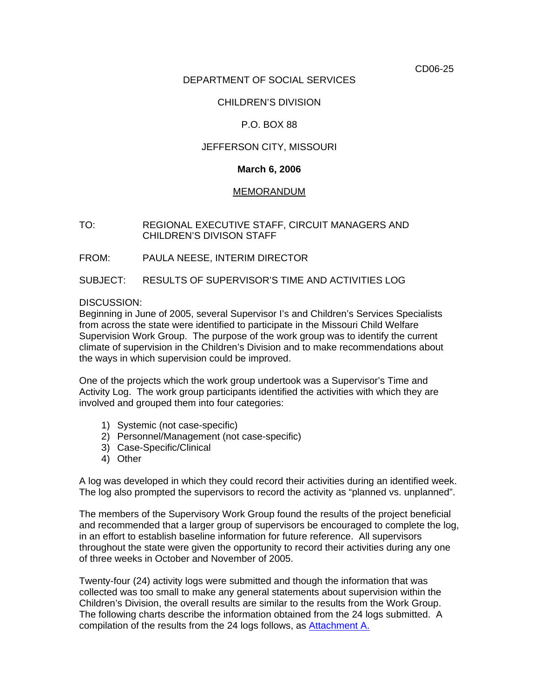CD06-25

## DEPARTMENT OF SOCIAL SERVICES

## CHILDREN'S DIVISION

## P.O. BOX 88

### JEFFERSON CITY, MISSOURI

#### **March 6, 2006**

#### MEMORANDUM

TO: REGIONAL EXECUTIVE STAFF, CIRCUIT MANAGERS AND CHILDREN'S DIVISON STAFF

FROM: PAULA NEESE, INTERIM DIRECTOR

SUBJECT: RESULTS OF SUPERVISOR'S TIME AND ACTIVITIES LOG

DISCUSSION:

Beginning in June of 2005, several Supervisor I's and Children's Services Specialists from across the state were identified to participate in the Missouri Child Welfare Supervision Work Group. The purpose of the work group was to identify the current climate of supervision in the Children's Division and to make recommendations about the ways in which supervision could be improved.

One of the projects which the work group undertook was a Supervisor's Time and Activity Log. The work group participants identified the activities with which they are involved and grouped them into four categories:

- 1) Systemic (not case-specific)
- 2) Personnel/Management (not case-specific)
- 3) Case-Specific/Clinical
- 4) Other

A log was developed in which they could record their activities during an identified week. The log also prompted the supervisors to record the activity as "planned vs. unplanned".

The members of the Supervisory Work Group found the results of the project beneficial and recommended that a larger group of supervisors be encouraged to complete the log, in an effort to establish baseline information for future reference. All supervisors throughout the state were given the opportunity to record their activities during any one of three weeks in October and November of 2005.

Twenty-four (24) activity logs were submitted and though the information that was collected was too small to make any general statements about supervision within the Children's Division, the overall results are similar to the results from the Work Group. The following charts describe the information obtained from the 24 logs submitted. A compilation of the results from the 24 logs follows, as [Attachment A.](http://www.dss.mo.gov/cd/info/memos/2006/25/sup_time_and_activity_log.pdf)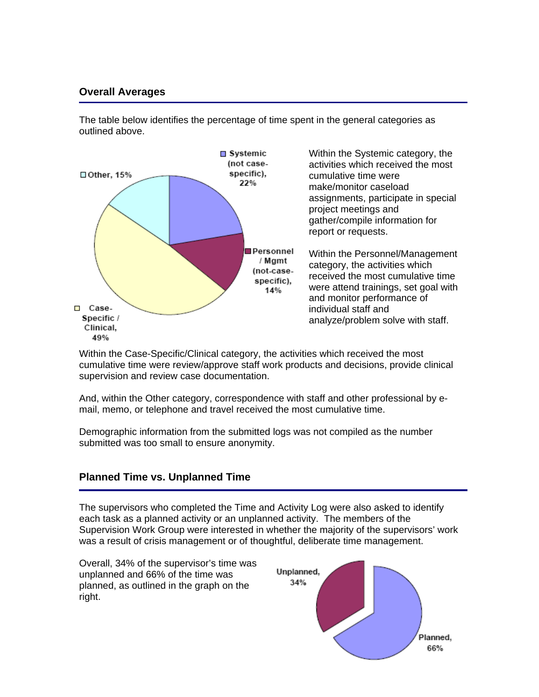# **Overall Averages**

The table below identifies the percentage of time spent in the general categories as outlined above.



Within the Case-Specific/Clinical category, the activities which received the most cumulative time were review/approve staff work products and decisions, provide clinical supervision and review case documentation.

And, within the Other category, correspondence with staff and other professional by email, memo, or telephone and travel received the most cumulative time.

Demographic information from the submitted logs was not compiled as the number submitted was too small to ensure anonymity.

# **Planned Time vs. Unplanned Time**

The supervisors who completed the Time and Activity Log were also asked to identify each task as a planned activity or an unplanned activity. The members of the Supervision Work Group were interested in whether the majority of the supervisors' work was a result of crisis management or of thoughtful, deliberate time management.

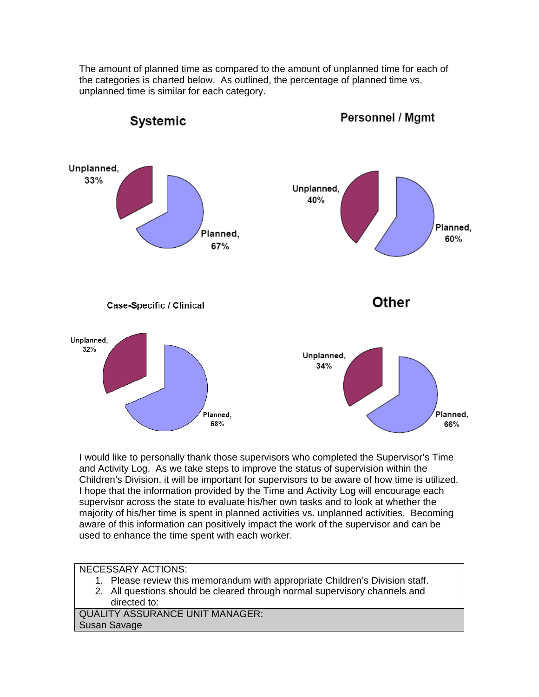

The amount of planned time as compared to the amount of unplanned time for each of the categories is charted below. As outlined, the percentage of planned time vs.

I would like to personally thank those supervisors who completed the Supervisor's Time and Activity Log. As we take steps to improve the status of supervision within the Children's Division, it will be important for supervisors to be aware of how time is utilized. I hope that the information provided by the Time and Activity Log will encourage each supervisor across the state to evaluate his/her own tasks and to look at whether the majority of his/her time is spent in planned activities vs. unplanned activities. Becoming aware of this information can positively impact the work of the supervisor and can be used to enhance the time spent with each worker.

# NECESSARY ACTIONS:

- 1. Please review this memorandum with appropriate Children's Division staff.
- 2. All questions should be cleared through normal supervisory channels and directed to:

QUALITY ASSURANCE UNIT MANAGER: Susan Savage